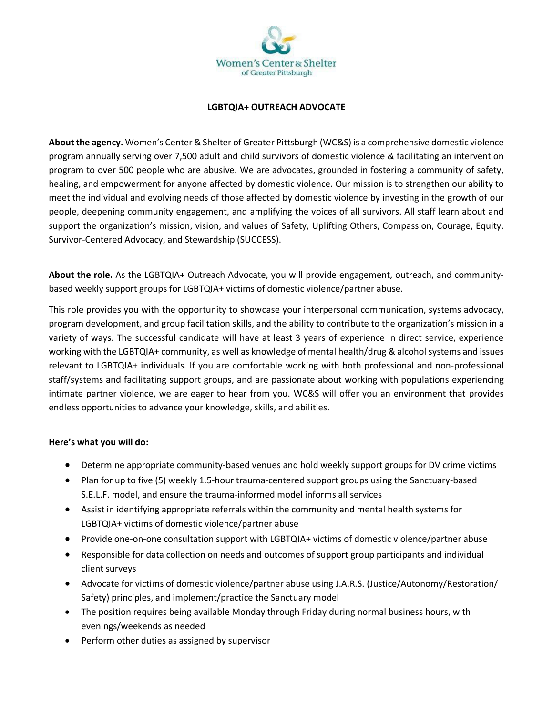

## **LGBTQIA+ OUTREACH ADVOCATE**

**About the agency.** Women's Center & Shelter of Greater Pittsburgh (WC&S) is a comprehensive domestic violence program annually serving over 7,500 adult and child survivors of domestic violence & facilitating an intervention program to over 500 people who are abusive. We are advocates, grounded in fostering a community of safety, healing, and empowerment for anyone affected by domestic violence. Our mission is to strengthen our ability to meet the individual and evolving needs of those affected by domestic violence by investing in the growth of our people, deepening community engagement, and amplifying the voices of all survivors. All staff learn about and support the organization's mission, vision, and values of Safety, Uplifting Others, Compassion, Courage, Equity, Survivor-Centered Advocacy, and Stewardship (SUCCESS).

**About the role.** As the LGBTQIA+ Outreach Advocate, you will provide engagement, outreach, and communitybased weekly support groups for LGBTQIA+ victims of domestic violence/partner abuse.

This role provides you with the opportunity to showcase your interpersonal communication, systems advocacy, program development, and group facilitation skills, and the ability to contribute to the organization's mission in a variety of ways. The successful candidate will have at least 3 years of experience in direct service, experience working with the LGBTQIA+ community, as well as knowledge of mental health/drug & alcohol systems and issues relevant to LGBTQIA+ individuals. If you are comfortable working with both professional and non-professional staff/systems and facilitating support groups, and are passionate about working with populations experiencing intimate partner violence, we are eager to hear from you. WC&S will offer you an environment that provides endless opportunities to advance your knowledge, skills, and abilities.

## **Here's what you will do:**

- Determine appropriate community-based venues and hold weekly support groups for DV crime victims
- Plan for up to five (5) weekly 1.5-hour trauma-centered support groups using the Sanctuary-based S.E.L.F. model, and ensure the trauma-informed model informs all services
- Assist in identifying appropriate referrals within the community and mental health systems for LGBTQIA+ victims of domestic violence/partner abuse
- Provide one-on-one consultation support with LGBTQIA+ victims of domestic violence/partner abuse
- Responsible for data collection on needs and outcomes of support group participants and individual client surveys
- Advocate for victims of domestic violence/partner abuse using J.A.R.S. (Justice/Autonomy/Restoration/ Safety) principles, and implement/practice the Sanctuary model
- The position requires being available Monday through Friday during normal business hours, with evenings/weekends as needed
- Perform other duties as assigned by supervisor